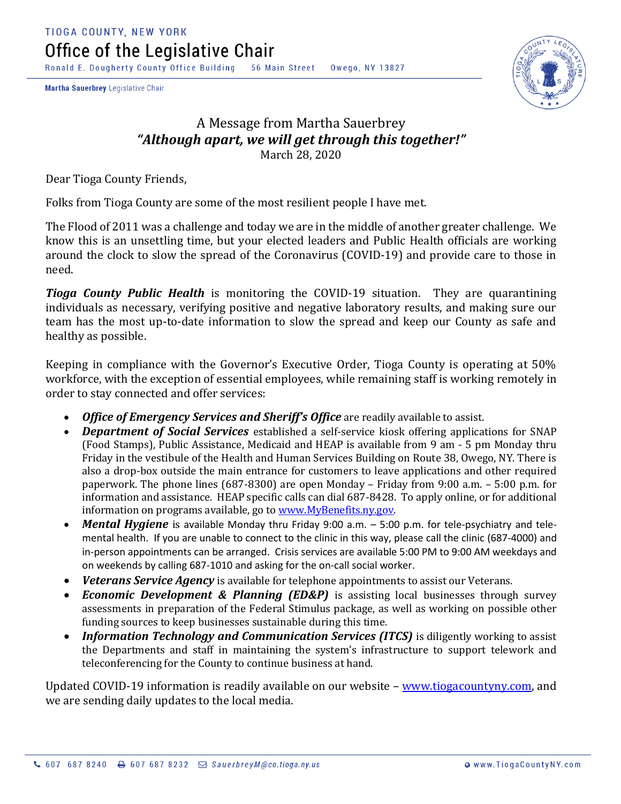Ronald E. Dougherty County Office Building 56 Main Street Owego, NY 13827

Martha Sauerbrey Legislative Chair



## A Message from Martha Sauerbrey *"Although apart, we will get through this together!"* March 28, 2020

Dear Tioga County Friends,

Folks from Tioga County are some of the most resilient people I have met.

The Flood of 2011 was a challenge and today we are in the middle of another greater challenge. We know this is an unsettling time, but your elected leaders and Public Health officials are working around the clock to slow the spread of the Coronavirus (COVID-19) and provide care to those in need.

*Tioga County Public Health* is monitoring the COVID-19 situation. They are quarantining individuals as necessary, verifying positive and negative laboratory results, and making sure our team has the most up-to-date information to slow the spread and keep our County as safe and healthy as possible.

Keeping in compliance with the Governor's Executive Order, Tioga County is operating at 50% workforce, with the exception of essential employees, while remaining staff is working remotely in order to stay connected and offer services:

- *Office of Emergency Services and Sheriff's Office* are readily available to assist.
- *Department of Social Services* established a self-service kiosk offering applications for SNAP (Food Stamps), Public Assistance, Medicaid and HEAP is available from 9 am - 5 pm Monday thru Friday in the vestibule of the Health and Human Services Building on Route 38, Owego, NY. There is also a drop-box outside the main entrance for customers to leave applications and other required paperwork. The phone lines (687-8300) are open Monday – Friday from 9:00 a.m. – 5:00 p.m. for information and assistance. HEAP specific calls can dial 687-8428. To apply online, or for additional information on programs available, go to www.MyBenefits.ny.gov.
- *Mental Hygiene* is available Monday thru Friday 9:00 a.m. 5:00 p.m. for tele-psychiatry and telemental health. If you are unable to connect to the clinic in this way, please call the clinic (687-4000) and in-person appointments can be arranged. Crisis services are available 5:00 PM to 9:00 AM weekdays and on weekends by calling 687-1010 and asking for the on-call social worker.
- *Veterans Service Agency* is available for telephone appointments to assist our Veterans.
- *Economic Development & Planning (ED&P)* is assisting local businesses through survey assessments in preparation of the Federal Stimulus package, as well as working on possible other funding sources to keep businesses sustainable during this time.
- Information Technology and Communication Services (ITCS) is diligently working to assist the Departments and staff in maintaining the system's infrastructure to support telework and teleconferencing for the County to continue business at hand.

Updated COVID-19 information is readily available on our website – [www.tiogacountyny.com,](http://www.tiogacountyny.com/) and we are sending daily updates to the local media.